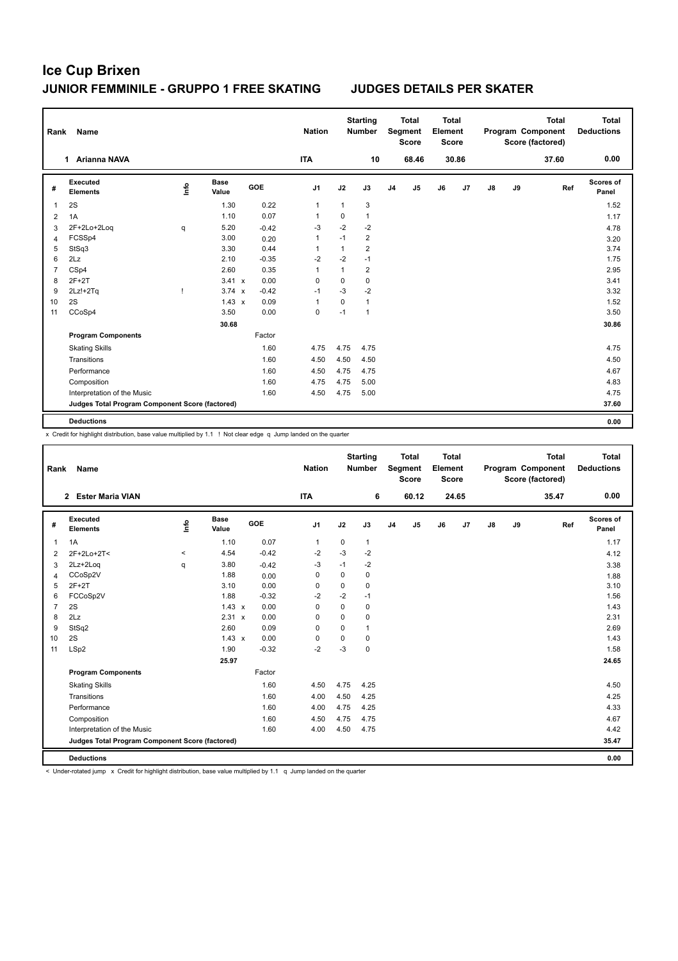| Rank           | Name                                            |      |                      |         | <b>Nation</b>  |              | <b>Starting</b><br><b>Number</b> |                | <b>Total</b><br>Segment<br><b>Score</b> | <b>Total</b><br>Element<br><b>Score</b> |       |               |    | <b>Total</b><br>Program Component<br>Score (factored) | <b>Total</b><br><b>Deductions</b> |
|----------------|-------------------------------------------------|------|----------------------|---------|----------------|--------------|----------------------------------|----------------|-----------------------------------------|-----------------------------------------|-------|---------------|----|-------------------------------------------------------|-----------------------------------|
|                | 1 Arianna NAVA                                  |      |                      |         | <b>ITA</b>     |              | 10                               |                | 68.46                                   |                                         | 30.86 |               |    | 37.60                                                 | 0.00                              |
| #              | Executed<br><b>Elements</b>                     | lnfo | <b>Base</b><br>Value | GOE     | J <sub>1</sub> | J2           | J3                               | J <sub>4</sub> | J5                                      | J6                                      | J7    | $\mathsf{J}8$ | J9 | Ref                                                   | Scores of<br>Panel                |
| 1              | 2S                                              |      | 1.30                 | 0.22    | $\mathbf{1}$   | $\mathbf{1}$ | 3                                |                |                                         |                                         |       |               |    |                                                       | 1.52                              |
| 2              | 1A                                              |      | 1.10                 | 0.07    | 1              | 0            | $\mathbf{1}$                     |                |                                         |                                         |       |               |    |                                                       | 1.17                              |
| 3              | 2F+2Lo+2Log                                     | q    | 5.20                 | $-0.42$ | $-3$           | $-2$         | $-2$                             |                |                                         |                                         |       |               |    |                                                       | 4.78                              |
| 4              | FCSSp4                                          |      | 3.00                 | 0.20    | 1              | $-1$         | $\overline{2}$                   |                |                                         |                                         |       |               |    |                                                       | 3.20                              |
| 5              | StSq3                                           |      | 3.30                 | 0.44    | 1              | 1            | $\overline{2}$                   |                |                                         |                                         |       |               |    |                                                       | 3.74                              |
| 6              | 2Lz                                             |      | 2.10                 | $-0.35$ | $-2$           | $-2$         | $-1$                             |                |                                         |                                         |       |               |    |                                                       | 1.75                              |
| $\overline{7}$ | CSp4                                            |      | 2.60                 | 0.35    | 1              | 1            | $\overline{2}$                   |                |                                         |                                         |       |               |    |                                                       | 2.95                              |
| 8              | $2F+2T$                                         |      | 3.41 x               | 0.00    | 0              | 0            | $\mathbf 0$                      |                |                                         |                                         |       |               |    |                                                       | 3.41                              |
| 9              | $2Lz!+2Tq$                                      |      | $3.74 \times$        | $-0.42$ | $-1$           | $-3$         | $-2$                             |                |                                         |                                         |       |               |    |                                                       | 3.32                              |
| 10             | 2S                                              |      | $1.43 \times$        | 0.09    | 1              | 0            | $\mathbf{1}$                     |                |                                         |                                         |       |               |    |                                                       | 1.52                              |
| 11             | CCoSp4                                          |      | 3.50                 | 0.00    | 0              | $-1$         | $\mathbf{1}$                     |                |                                         |                                         |       |               |    |                                                       | 3.50                              |
|                |                                                 |      | 30.68                |         |                |              |                                  |                |                                         |                                         |       |               |    |                                                       | 30.86                             |
|                | <b>Program Components</b>                       |      |                      | Factor  |                |              |                                  |                |                                         |                                         |       |               |    |                                                       |                                   |
|                | <b>Skating Skills</b>                           |      |                      | 1.60    | 4.75           | 4.75         | 4.75                             |                |                                         |                                         |       |               |    |                                                       | 4.75                              |
|                | Transitions                                     |      |                      | 1.60    | 4.50           | 4.50         | 4.50                             |                |                                         |                                         |       |               |    |                                                       | 4.50                              |
|                | Performance                                     |      |                      | 1.60    | 4.50           | 4.75         | 4.75                             |                |                                         |                                         |       |               |    |                                                       | 4.67                              |
|                | Composition                                     |      |                      | 1.60    | 4.75           | 4.75         | 5.00                             |                |                                         |                                         |       |               |    |                                                       | 4.83                              |
|                | Interpretation of the Music                     |      |                      | 1.60    | 4.50           | 4.75         | 5.00                             |                |                                         |                                         |       |               |    |                                                       | 4.75                              |
|                | Judges Total Program Component Score (factored) |      |                      |         |                |              |                                  |                |                                         |                                         |       |               |    |                                                       | 37.60                             |
|                | <b>Deductions</b>                               |      |                      |         |                |              |                                  |                |                                         |                                         |       |               |    |                                                       | 0.00                              |

x Credit for highlight distribution, base value multiplied by 1.1 ! Not clear edge q Jump landed on the quarter

| Rank           | Name                                            |         |                      |         | <b>Nation</b>  |          | <b>Starting</b><br><b>Number</b> |                | <b>Total</b><br>Segment<br><b>Score</b> | <b>Total</b><br>Element<br>Score |       |               |    | <b>Total</b><br>Program Component<br>Score (factored) | <b>Total</b><br><b>Deductions</b> |
|----------------|-------------------------------------------------|---------|----------------------|---------|----------------|----------|----------------------------------|----------------|-----------------------------------------|----------------------------------|-------|---------------|----|-------------------------------------------------------|-----------------------------------|
|                | 2 Ester Maria VIAN                              |         |                      |         | <b>ITA</b>     |          | 6                                |                | 60.12                                   |                                  | 24.65 |               |    | 35.47                                                 | 0.00                              |
| #              | Executed<br><b>Elements</b>                     | ١nf٥    | <b>Base</b><br>Value | GOE     | J <sub>1</sub> | J2       | J3                               | J <sub>4</sub> | J <sub>5</sub>                          | J6                               | J7    | $\mathsf{J}8$ | J9 | Ref                                                   | Scores of<br>Panel                |
| $\mathbf{1}$   | 1A                                              |         | 1.10                 | 0.07    | $\mathbf{1}$   | 0        | $\mathbf{1}$                     |                |                                         |                                  |       |               |    |                                                       | 1.17                              |
| $\overline{2}$ | 2F+2Lo+2T<                                      | $\prec$ | 4.54                 | $-0.42$ | $-2$           | $-3$     | $-2$                             |                |                                         |                                  |       |               |    |                                                       | 4.12                              |
| 3              | 2Lz+2Log                                        | q       | 3.80                 | $-0.42$ | $-3$           | $-1$     | $-2$                             |                |                                         |                                  |       |               |    |                                                       | 3.38                              |
| 4              | CCoSp2V                                         |         | 1.88                 | 0.00    | $\Omega$       | $\Omega$ | 0                                |                |                                         |                                  |       |               |    |                                                       | 1.88                              |
| 5              | $2F+2T$                                         |         | 3.10                 | 0.00    | $\Omega$       | $\Omega$ | $\Omega$                         |                |                                         |                                  |       |               |    |                                                       | 3.10                              |
| 6              | FCCoSp2V                                        |         | 1.88                 | $-0.32$ | $-2$           | $-2$     | $-1$                             |                |                                         |                                  |       |               |    |                                                       | 1.56                              |
| $\overline{7}$ | 2S                                              |         | $1.43 \times$        | 0.00    | 0              | 0        | $\mathbf 0$                      |                |                                         |                                  |       |               |    |                                                       | 1.43                              |
| 8              | 2Lz                                             |         | 2.31 x               | 0.00    | $\Omega$       | $\Omega$ | $\mathbf 0$                      |                |                                         |                                  |       |               |    |                                                       | 2.31                              |
| 9              | StSq2                                           |         | 2.60                 | 0.09    | $\Omega$       | $\Omega$ | $\mathbf{1}$                     |                |                                         |                                  |       |               |    |                                                       | 2.69                              |
| 10             | 2S                                              |         | $1.43 \times$        | 0.00    | $\Omega$       | 0        | $\Omega$                         |                |                                         |                                  |       |               |    |                                                       | 1.43                              |
| 11             | LSp2                                            |         | 1.90                 | $-0.32$ | $-2$           | $-3$     | $\mathbf 0$                      |                |                                         |                                  |       |               |    |                                                       | 1.58                              |
|                |                                                 |         | 25.97                |         |                |          |                                  |                |                                         |                                  |       |               |    |                                                       | 24.65                             |
|                | <b>Program Components</b>                       |         |                      | Factor  |                |          |                                  |                |                                         |                                  |       |               |    |                                                       |                                   |
|                | <b>Skating Skills</b>                           |         |                      | 1.60    | 4.50           | 4.75     | 4.25                             |                |                                         |                                  |       |               |    |                                                       | 4.50                              |
|                | Transitions                                     |         |                      | 1.60    | 4.00           | 4.50     | 4.25                             |                |                                         |                                  |       |               |    |                                                       | 4.25                              |
|                | Performance                                     |         |                      | 1.60    | 4.00           | 4.75     | 4.25                             |                |                                         |                                  |       |               |    |                                                       | 4.33                              |
|                | Composition                                     |         |                      | 1.60    | 4.50           | 4.75     | 4.75                             |                |                                         |                                  |       |               |    |                                                       | 4.67                              |
|                | Interpretation of the Music                     |         |                      | 1.60    | 4.00           | 4.50     | 4.75                             |                |                                         |                                  |       |               |    |                                                       | 4.42                              |
|                | Judges Total Program Component Score (factored) |         |                      |         |                |          |                                  |                |                                         |                                  |       |               |    |                                                       | 35.47                             |
|                | <b>Deductions</b>                               |         |                      |         |                |          |                                  |                |                                         |                                  |       |               |    |                                                       | 0.00                              |

< Under-rotated jump x Credit for highlight distribution, base value multiplied by 1.1 q Jump landed on the quarter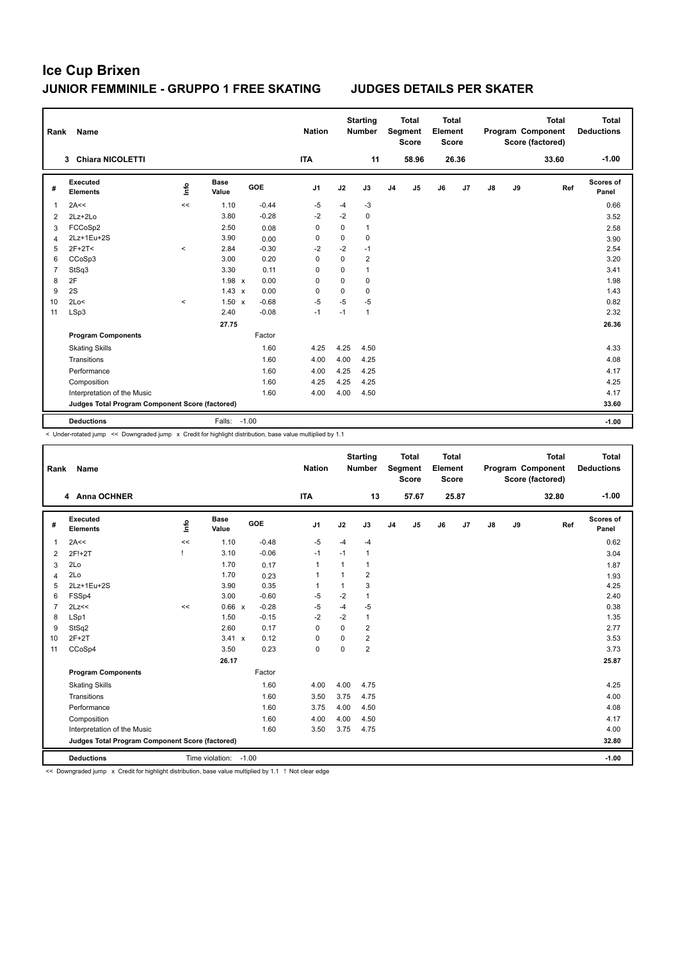| Rank           | Name                                            |         |                      |         | <b>Nation</b>  |          | <b>Starting</b><br><b>Number</b> |                | <b>Total</b><br>Segment<br><b>Score</b> | <b>Total</b><br>Element<br><b>Score</b> |       |               |    | <b>Total</b><br>Program Component<br>Score (factored) | <b>Total</b><br><b>Deductions</b> |
|----------------|-------------------------------------------------|---------|----------------------|---------|----------------|----------|----------------------------------|----------------|-----------------------------------------|-----------------------------------------|-------|---------------|----|-------------------------------------------------------|-----------------------------------|
|                | 3 Chiara NICOLETTI                              |         |                      |         | <b>ITA</b>     |          | 11                               |                | 58.96                                   |                                         | 26.36 |               |    | 33.60                                                 | $-1.00$                           |
| #              | Executed<br><b>Elements</b>                     | lnfo    | <b>Base</b><br>Value | GOE     | J <sub>1</sub> | J2       | J3                               | J <sub>4</sub> | J <sub>5</sub>                          | J6                                      | J7    | $\mathsf{J}8$ | J9 | Ref                                                   | <b>Scores of</b><br>Panel         |
| 1              | 2A<<                                            | <<      | 1.10                 | $-0.44$ | $-5$           | $-4$     | -3                               |                |                                         |                                         |       |               |    |                                                       | 0.66                              |
| 2              | $2Lz+2Lo$                                       |         | 3.80                 | $-0.28$ | $-2$           | $-2$     | $\mathbf 0$                      |                |                                         |                                         |       |               |    |                                                       | 3.52                              |
| 3              | FCCoSp2                                         |         | 2.50                 | 0.08    | 0              | 0        | $\mathbf{1}$                     |                |                                         |                                         |       |               |    |                                                       | 2.58                              |
| 4              | 2Lz+1Eu+2S                                      |         | 3.90                 | 0.00    | 0              | 0        | $\mathbf 0$                      |                |                                         |                                         |       |               |    |                                                       | 3.90                              |
| 5              | $2F+2T2$                                        | $\,<\,$ | 2.84                 | $-0.30$ | $-2$           | $-2$     | $-1$                             |                |                                         |                                         |       |               |    |                                                       | 2.54                              |
| 6              | CCoSp3                                          |         | 3.00                 | 0.20    | $\Omega$       | $\Omega$ | $\overline{2}$                   |                |                                         |                                         |       |               |    |                                                       | 3.20                              |
| $\overline{7}$ | StSq3                                           |         | 3.30                 | 0.11    | 0              | 0        | $\mathbf{1}$                     |                |                                         |                                         |       |               |    |                                                       | 3.41                              |
| 8              | 2F                                              |         | $1.98 \times$        | 0.00    | 0              | 0        | $\mathbf 0$                      |                |                                         |                                         |       |               |    |                                                       | 1.98                              |
| 9              | 2S                                              |         | $1.43 \times$        | 0.00    | 0              | 0        | 0                                |                |                                         |                                         |       |               |    |                                                       | 1.43                              |
| 10             | 2Lo<                                            | $\,<\,$ | $1.50 \times$        | $-0.68$ | $-5$           | $-5$     | $-5$                             |                |                                         |                                         |       |               |    |                                                       | 0.82                              |
| 11             | LSp3                                            |         | 2.40                 | $-0.08$ | $-1$           | $-1$     | $\mathbf{1}$                     |                |                                         |                                         |       |               |    |                                                       | 2.32                              |
|                |                                                 |         | 27.75                |         |                |          |                                  |                |                                         |                                         |       |               |    |                                                       | 26.36                             |
|                | <b>Program Components</b>                       |         |                      | Factor  |                |          |                                  |                |                                         |                                         |       |               |    |                                                       |                                   |
|                | <b>Skating Skills</b>                           |         |                      | 1.60    | 4.25           | 4.25     | 4.50                             |                |                                         |                                         |       |               |    |                                                       | 4.33                              |
|                | Transitions                                     |         |                      | 1.60    | 4.00           | 4.00     | 4.25                             |                |                                         |                                         |       |               |    |                                                       | 4.08                              |
|                | Performance                                     |         |                      | 1.60    | 4.00           | 4.25     | 4.25                             |                |                                         |                                         |       |               |    |                                                       | 4.17                              |
|                | Composition                                     |         |                      | 1.60    | 4.25           | 4.25     | 4.25                             |                |                                         |                                         |       |               |    |                                                       | 4.25                              |
|                | Interpretation of the Music                     |         |                      | 1.60    | 4.00           | 4.00     | 4.50                             |                |                                         |                                         |       |               |    |                                                       | 4.17                              |
|                | Judges Total Program Component Score (factored) |         |                      |         |                |          |                                  |                |                                         |                                         |       |               |    |                                                       | 33.60                             |
|                | <b>Deductions</b>                               |         | Falls:               | $-1.00$ |                |          |                                  |                |                                         |                                         |       |               |    |                                                       | $-1.00$                           |

< Under-rotated jump << Downgraded jump x Credit for highlight distribution, base value multiplied by 1.1

| Rank           | Name                                            |                                  |                      |         | <b>Nation</b>  |             | <b>Starting</b><br><b>Number</b> |                | <b>Total</b><br>Segment<br><b>Score</b> | <b>Total</b><br>Element<br><b>Score</b> |       |               |    | <b>Total</b><br>Program Component<br>Score (factored) | <b>Total</b><br><b>Deductions</b> |
|----------------|-------------------------------------------------|----------------------------------|----------------------|---------|----------------|-------------|----------------------------------|----------------|-----------------------------------------|-----------------------------------------|-------|---------------|----|-------------------------------------------------------|-----------------------------------|
|                | 4 Anna OCHNER                                   |                                  |                      |         | <b>ITA</b>     |             | 13                               |                | 57.67                                   |                                         | 25.87 |               |    | 32.80                                                 | $-1.00$                           |
| #              | Executed<br><b>Elements</b>                     | $\mathop{\mathsf{Int}}\nolimits$ | <b>Base</b><br>Value | GOE     | J <sub>1</sub> | J2          | J3                               | J <sub>4</sub> | J <sub>5</sub>                          | J6                                      | J7    | $\mathsf{J}8$ | J9 | Ref                                                   | Scores of<br>Panel                |
| $\mathbf{1}$   | 2A<<                                            | <<                               | 1.10                 | $-0.48$ | $-5$           | $-4$        | $-4$                             |                |                                         |                                         |       |               |    |                                                       | 0.62                              |
| $\overline{2}$ | 2F!+2T                                          |                                  | 3.10                 | $-0.06$ | $-1$           | $-1$        | $\mathbf{1}$                     |                |                                         |                                         |       |               |    |                                                       | 3.04                              |
| 3              | 2Lo                                             |                                  | 1.70                 | 0.17    | $\overline{1}$ | 1           | 1                                |                |                                         |                                         |       |               |    |                                                       | 1.87                              |
| 4              | 2Lo                                             |                                  | 1.70                 | 0.23    | $\overline{1}$ | 1           | $\overline{2}$                   |                |                                         |                                         |       |               |    |                                                       | 1.93                              |
| 5              | 2Lz+1Eu+2S                                      |                                  | 3.90                 | 0.35    | 1              | 1           | 3                                |                |                                         |                                         |       |               |    |                                                       | 4.25                              |
| 6              | FSSp4                                           |                                  | 3.00                 | $-0.60$ | -5             | $-2$        | $\mathbf{1}$                     |                |                                         |                                         |       |               |    |                                                       | 2.40                              |
| $\overline{7}$ | 2Lz<<                                           | <<                               | 0.66 x               | $-0.28$ | -5             | $-4$        | $-5$                             |                |                                         |                                         |       |               |    |                                                       | 0.38                              |
| 8              | LSp1                                            |                                  | 1.50                 | $-0.15$ | $-2$           | $-2$        | $\mathbf{1}$                     |                |                                         |                                         |       |               |    |                                                       | 1.35                              |
| 9              | StSq2                                           |                                  | 2.60                 | 0.17    | $\Omega$       | $\Omega$    | $\overline{2}$                   |                |                                         |                                         |       |               |    |                                                       | 2.77                              |
| 10             | $2F+2T$                                         |                                  | $3.41 \times$        | 0.12    | 0              | 0           | $\overline{2}$                   |                |                                         |                                         |       |               |    |                                                       | 3.53                              |
| 11             | CCoSp4                                          |                                  | 3.50                 | 0.23    | $\mathbf 0$    | $\mathbf 0$ | $\overline{2}$                   |                |                                         |                                         |       |               |    |                                                       | 3.73                              |
|                |                                                 |                                  | 26.17                |         |                |             |                                  |                |                                         |                                         |       |               |    |                                                       | 25.87                             |
|                | <b>Program Components</b>                       |                                  |                      | Factor  |                |             |                                  |                |                                         |                                         |       |               |    |                                                       |                                   |
|                | <b>Skating Skills</b>                           |                                  |                      | 1.60    | 4.00           | 4.00        | 4.75                             |                |                                         |                                         |       |               |    |                                                       | 4.25                              |
|                | Transitions                                     |                                  |                      | 1.60    | 3.50           | 3.75        | 4.75                             |                |                                         |                                         |       |               |    |                                                       | 4.00                              |
|                | Performance                                     |                                  |                      | 1.60    | 3.75           | 4.00        | 4.50                             |                |                                         |                                         |       |               |    |                                                       | 4.08                              |
|                | Composition                                     |                                  |                      | 1.60    | 4.00           | 4.00        | 4.50                             |                |                                         |                                         |       |               |    |                                                       | 4.17                              |
|                | Interpretation of the Music                     |                                  |                      | 1.60    | 3.50           | 3.75        | 4.75                             |                |                                         |                                         |       |               |    |                                                       | 4.00                              |
|                | Judges Total Program Component Score (factored) |                                  |                      |         |                |             |                                  |                |                                         |                                         |       |               |    |                                                       | 32.80                             |
|                | <b>Deductions</b>                               |                                  | Time violation:      | $-1.00$ |                |             |                                  |                |                                         |                                         |       |               |    |                                                       | $-1.00$                           |

<< Downgraded jump x Credit for highlight distribution, base value multiplied by 1.1 ! Not clear edge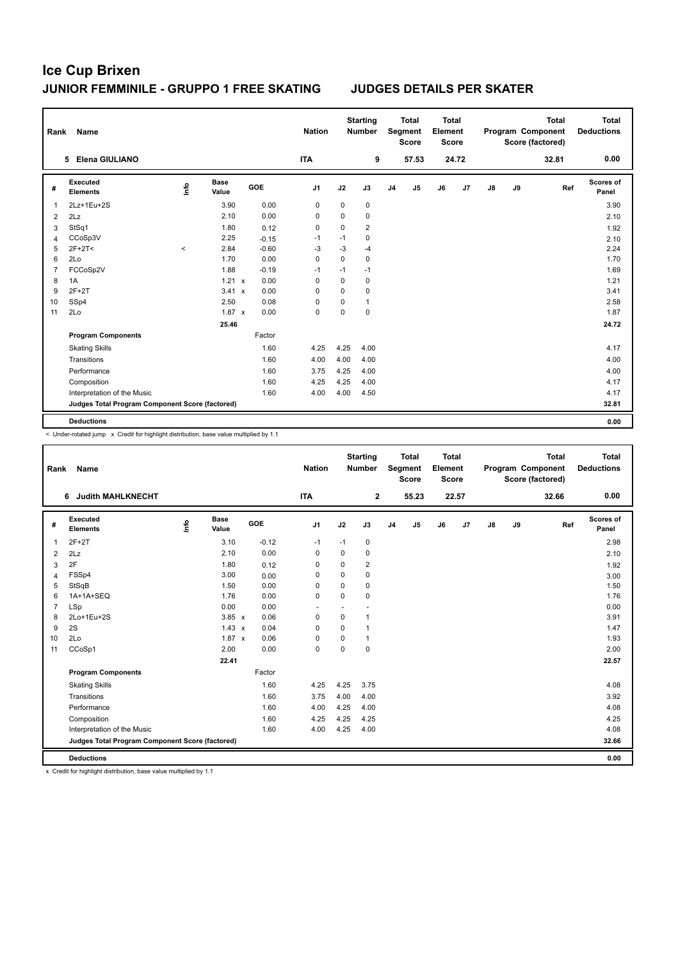| Rank           | <b>Name</b>                                     |       |                      |            | <b>Nation</b>  |          | <b>Starting</b><br>Number |                | <b>Total</b><br>Segment<br><b>Score</b> | <b>Total</b><br>Element<br><b>Score</b> |                |               |    | Total<br>Program Component<br>Score (factored) | <b>Total</b><br><b>Deductions</b> |
|----------------|-------------------------------------------------|-------|----------------------|------------|----------------|----------|---------------------------|----------------|-----------------------------------------|-----------------------------------------|----------------|---------------|----|------------------------------------------------|-----------------------------------|
|                | 5 Elena GIULIANO                                |       |                      |            | <b>ITA</b>     |          | 9                         |                | 57.53                                   |                                         | 24.72          |               |    | 32.81                                          | 0.00                              |
| #              | <b>Executed</b><br><b>Elements</b>              | Life  | <b>Base</b><br>Value | <b>GOE</b> | J <sub>1</sub> | J2       | J3                        | J <sub>4</sub> | J <sub>5</sub>                          | J6                                      | J <sub>7</sub> | $\mathsf{J}8$ | J9 | Ref                                            | Scores of<br>Panel                |
| 1              | 2Lz+1Eu+2S                                      |       | 3.90                 | 0.00       | 0              | 0        | 0                         |                |                                         |                                         |                |               |    |                                                | 3.90                              |
| 2              | 2Lz                                             |       | 2.10                 | 0.00       | 0              | 0        | 0                         |                |                                         |                                         |                |               |    |                                                | 2.10                              |
| 3              | StSq1                                           |       | 1.80                 | 0.12       | 0              | 0        | $\overline{2}$            |                |                                         |                                         |                |               |    |                                                | 1.92                              |
| 4              | CCoSp3V                                         |       | 2.25                 | $-0.15$    | $-1$           | $-1$     | 0                         |                |                                         |                                         |                |               |    |                                                | 2.10                              |
| 5              | $2F+2T2$                                        | $\,<$ | 2.84                 | $-0.60$    | $-3$           | $-3$     | $-4$                      |                |                                         |                                         |                |               |    |                                                | 2.24                              |
| 6              | 2Lo                                             |       | 1.70                 | 0.00       | $\Omega$       | $\Omega$ | $\Omega$                  |                |                                         |                                         |                |               |    |                                                | 1.70                              |
| $\overline{7}$ | FCCoSp2V                                        |       | 1.88                 | $-0.19$    | $-1$           | $-1$     | $-1$                      |                |                                         |                                         |                |               |    |                                                | 1.69                              |
| 8              | 1A                                              |       | 1.21 x               | 0.00       | 0              | 0        | 0                         |                |                                         |                                         |                |               |    |                                                | 1.21                              |
| 9              | $2F+2T$                                         |       | $3.41 \times$        | 0.00       | $\Omega$       | $\Omega$ | 0                         |                |                                         |                                         |                |               |    |                                                | 3.41                              |
| 10             | SSp4                                            |       | 2.50                 | 0.08       | 0              | 0        | $\mathbf{1}$              |                |                                         |                                         |                |               |    |                                                | 2.58                              |
| 11             | 2Lo                                             |       | $1.87 \times$        | 0.00       | $\pmb{0}$      | 0        | 0                         |                |                                         |                                         |                |               |    |                                                | 1.87                              |
|                |                                                 |       | 25.46                |            |                |          |                           |                |                                         |                                         |                |               |    |                                                | 24.72                             |
|                | <b>Program Components</b>                       |       |                      | Factor     |                |          |                           |                |                                         |                                         |                |               |    |                                                |                                   |
|                | <b>Skating Skills</b>                           |       |                      | 1.60       | 4.25           | 4.25     | 4.00                      |                |                                         |                                         |                |               |    |                                                | 4.17                              |
|                | Transitions                                     |       |                      | 1.60       | 4.00           | 4.00     | 4.00                      |                |                                         |                                         |                |               |    |                                                | 4.00                              |
|                | Performance                                     |       |                      | 1.60       | 3.75           | 4.25     | 4.00                      |                |                                         |                                         |                |               |    |                                                | 4.00                              |
|                | Composition                                     |       |                      | 1.60       | 4.25           | 4.25     | 4.00                      |                |                                         |                                         |                |               |    |                                                | 4.17                              |
|                | Interpretation of the Music                     |       |                      | 1.60       | 4.00           | 4.00     | 4.50                      |                |                                         |                                         |                |               |    |                                                | 4.17                              |
|                | Judges Total Program Component Score (factored) |       |                      |            |                |          |                           |                |                                         |                                         |                |               |    |                                                | 32.81                             |
|                | <b>Deductions</b>                               |       |                      |            |                |          |                           |                |                                         |                                         |                |               |    |                                                | 0.00                              |

< Under-rotated jump x Credit for highlight distribution, base value multiplied by 1.1

| Rank           | Name                                            |      |                      |         | <b>Nation</b>  |             | <b>Starting</b><br>Number |                | <b>Total</b><br>Segment<br><b>Score</b> | <b>Total</b><br>Element<br><b>Score</b> |       |               |    | <b>Total</b><br>Program Component<br>Score (factored) | Total<br><b>Deductions</b> |
|----------------|-------------------------------------------------|------|----------------------|---------|----------------|-------------|---------------------------|----------------|-----------------------------------------|-----------------------------------------|-------|---------------|----|-------------------------------------------------------|----------------------------|
|                | <b>Judith MAHLKNECHT</b><br>6                   |      |                      |         | <b>ITA</b>     |             | $\overline{\mathbf{2}}$   |                | 55.23                                   |                                         | 22.57 |               |    | 32.66                                                 | 0.00                       |
| #              | Executed<br><b>Elements</b>                     | lnfo | <b>Base</b><br>Value | GOE     | J <sub>1</sub> | J2          | J3                        | J <sub>4</sub> | $\mathsf{J}5$                           | J6                                      | J7    | $\mathsf{J}8$ | J9 | Ref                                                   | Scores of<br>Panel         |
| 1              | $2F+2T$                                         |      | 3.10                 | $-0.12$ | $-1$           | $-1$        | 0                         |                |                                         |                                         |       |               |    |                                                       | 2.98                       |
| $\overline{2}$ | 2Lz                                             |      | 2.10                 | 0.00    | $\mathbf 0$    | $\mathbf 0$ | 0                         |                |                                         |                                         |       |               |    |                                                       | 2.10                       |
| 3              | 2F                                              |      | 1.80                 | 0.12    | 0              | $\Omega$    | $\overline{\mathbf{c}}$   |                |                                         |                                         |       |               |    |                                                       | 1.92                       |
| $\overline{4}$ | FSSp4                                           |      | 3.00                 | 0.00    | 0              | $\Omega$    | 0                         |                |                                         |                                         |       |               |    |                                                       | 3.00                       |
| 5              | StSqB                                           |      | 1.50                 | 0.00    | 0              | $\Omega$    | 0                         |                |                                         |                                         |       |               |    |                                                       | 1.50                       |
| 6              | 1A+1A+SEQ                                       |      | 1.76                 | 0.00    | $\Omega$       | $\Omega$    | 0                         |                |                                         |                                         |       |               |    |                                                       | 1.76                       |
| $\overline{7}$ | LSp                                             |      | 0.00                 | 0.00    | ٠              |             |                           |                |                                         |                                         |       |               |    |                                                       | 0.00                       |
| 8              | 2Lo+1Eu+2S                                      |      | $3.85 \times$        | 0.06    | $\mathbf 0$    | $\mathbf 0$ | 1                         |                |                                         |                                         |       |               |    |                                                       | 3.91                       |
| 9              | 2S                                              |      | $1.43 \times$        | 0.04    | $\Omega$       | $\Omega$    | $\mathbf{1}$              |                |                                         |                                         |       |               |    |                                                       | 1.47                       |
| 10             | 2Lo                                             |      | $1.87 \times$        | 0.06    | 0              | $\Omega$    | $\mathbf{1}$              |                |                                         |                                         |       |               |    |                                                       | 1.93                       |
| 11             | CCoSp1                                          |      | 2.00                 | 0.00    | $\Omega$       | $\Omega$    | 0                         |                |                                         |                                         |       |               |    |                                                       | 2.00                       |
|                |                                                 |      | 22.41                |         |                |             |                           |                |                                         |                                         |       |               |    |                                                       | 22.57                      |
|                | <b>Program Components</b>                       |      |                      | Factor  |                |             |                           |                |                                         |                                         |       |               |    |                                                       |                            |
|                | <b>Skating Skills</b>                           |      |                      | 1.60    | 4.25           | 4.25        | 3.75                      |                |                                         |                                         |       |               |    |                                                       | 4.08                       |
|                | Transitions                                     |      |                      | 1.60    | 3.75           | 4.00        | 4.00                      |                |                                         |                                         |       |               |    |                                                       | 3.92                       |
|                | Performance                                     |      |                      | 1.60    | 4.00           | 4.25        | 4.00                      |                |                                         |                                         |       |               |    |                                                       | 4.08                       |
|                | Composition                                     |      |                      | 1.60    | 4.25           | 4.25        | 4.25                      |                |                                         |                                         |       |               |    |                                                       | 4.25                       |
|                | Interpretation of the Music                     |      |                      | 1.60    | 4.00           | 4.25        | 4.00                      |                |                                         |                                         |       |               |    |                                                       | 4.08                       |
|                | Judges Total Program Component Score (factored) |      |                      |         |                |             |                           |                |                                         |                                         |       |               |    |                                                       | 32.66                      |
|                | <b>Deductions</b>                               |      |                      |         |                |             |                           |                |                                         |                                         |       |               |    |                                                       | 0.00                       |

x Credit for highlight distribution, base value multiplied by 1.1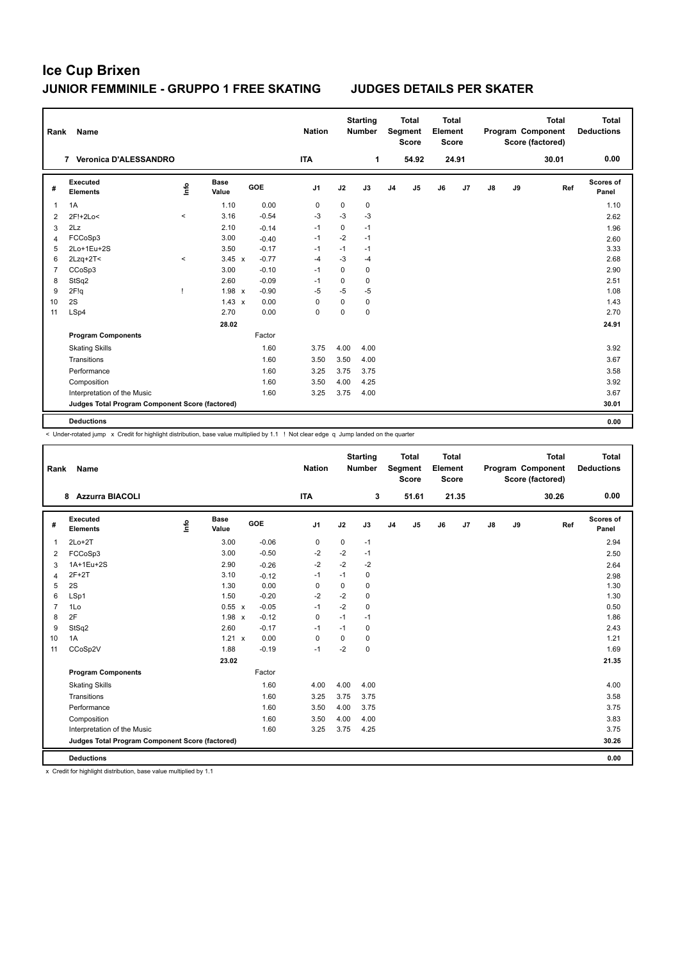| Rank | Name                                            |         |                      |         | <b>Nation</b>  |             | <b>Starting</b><br><b>Number</b> |                | <b>Total</b><br>Segment<br><b>Score</b> | <b>Total</b><br>Element | <b>Score</b> |               |    | <b>Total</b><br>Program Component<br>Score (factored) | <b>Total</b><br><b>Deductions</b> |
|------|-------------------------------------------------|---------|----------------------|---------|----------------|-------------|----------------------------------|----------------|-----------------------------------------|-------------------------|--------------|---------------|----|-------------------------------------------------------|-----------------------------------|
|      | <b>Veronica D'ALESSANDRO</b><br>$\overline{7}$  |         |                      |         | <b>ITA</b>     |             | 1                                |                | 54.92                                   |                         | 24.91        |               |    | 30.01                                                 | 0.00                              |
| #    | Executed<br><b>Elements</b>                     | ۴       | <b>Base</b><br>Value | GOE     | J <sub>1</sub> | J2          | J3                               | J <sub>4</sub> | J <sub>5</sub>                          | J6                      | J7           | $\mathsf{J}8$ | J9 | Ref                                                   | Scores of<br>Panel                |
|      | 1A                                              |         | 1.10                 | 0.00    | 0              | $\mathbf 0$ | $\mathbf 0$                      |                |                                         |                         |              |               |    |                                                       | 1.10                              |
| 2    | 2F!+2Lo<                                        | $\,<\,$ | 3.16                 | $-0.54$ | $-3$           | $-3$        | $-3$                             |                |                                         |                         |              |               |    |                                                       | 2.62                              |
| 3    | 2Lz                                             |         | 2.10                 | $-0.14$ | $-1$           | $\mathbf 0$ | $-1$                             |                |                                         |                         |              |               |    |                                                       | 1.96                              |
| Δ    | FCCoSp3                                         |         | 3.00                 | $-0.40$ | $-1$           | $-2$        | $-1$                             |                |                                         |                         |              |               |    |                                                       | 2.60                              |
| 5    | 2Lo+1Eu+2S                                      |         | 3.50                 | $-0.17$ | $-1$           | $-1$        | $-1$                             |                |                                         |                         |              |               |    |                                                       | 3.33                              |
| 6    | $2Lzq+2T<$                                      | $\,<$   | $3.45 \times$        | $-0.77$ | $-4$           | $-3$        | $-4$                             |                |                                         |                         |              |               |    |                                                       | 2.68                              |
| 7    | CCoSp3                                          |         | 3.00                 | $-0.10$ | $-1$           | $\Omega$    | 0                                |                |                                         |                         |              |               |    |                                                       | 2.90                              |
| 8    | StSq2                                           |         | 2.60                 | $-0.09$ | $-1$           | $\mathbf 0$ | 0                                |                |                                         |                         |              |               |    |                                                       | 2.51                              |
| 9    | 2F!q                                            | 1       | $1.98 \times$        | $-0.90$ | $-5$           | $-5$        | $-5$                             |                |                                         |                         |              |               |    |                                                       | 1.08                              |
| 10   | 2S                                              |         | $1.43 \times$        | 0.00    | 0              | $\mathbf 0$ | $\mathbf 0$                      |                |                                         |                         |              |               |    |                                                       | 1.43                              |
| 11   | LSp4                                            |         | 2.70                 | 0.00    | 0              | $\mathbf 0$ | $\mathbf 0$                      |                |                                         |                         |              |               |    |                                                       | 2.70                              |
|      |                                                 |         | 28.02                |         |                |             |                                  |                |                                         |                         |              |               |    |                                                       | 24.91                             |
|      | <b>Program Components</b>                       |         |                      | Factor  |                |             |                                  |                |                                         |                         |              |               |    |                                                       |                                   |
|      | <b>Skating Skills</b>                           |         |                      | 1.60    | 3.75           | 4.00        | 4.00                             |                |                                         |                         |              |               |    |                                                       | 3.92                              |
|      | Transitions                                     |         |                      | 1.60    | 3.50           | 3.50        | 4.00                             |                |                                         |                         |              |               |    |                                                       | 3.67                              |
|      | Performance                                     |         |                      | 1.60    | 3.25           | 3.75        | 3.75                             |                |                                         |                         |              |               |    |                                                       | 3.58                              |
|      | Composition                                     |         |                      | 1.60    | 3.50           | 4.00        | 4.25                             |                |                                         |                         |              |               |    |                                                       | 3.92                              |
|      | Interpretation of the Music                     |         |                      | 1.60    | 3.25           | 3.75        | 4.00                             |                |                                         |                         |              |               |    |                                                       | 3.67                              |
|      | Judges Total Program Component Score (factored) |         |                      |         |                |             |                                  |                |                                         |                         |              |               |    |                                                       | 30.01                             |
|      | <b>Deductions</b>                               |         |                      |         |                |             |                                  |                |                                         |                         |              |               |    |                                                       | 0.00                              |

< Under-rotated jump x Credit for highlight distribution, base value multiplied by 1.1 ! Not clear edge q Jump landed on the quarter

| Rank           | <b>Name</b>                                     |      |                      |         | <b>Nation</b>  |             | <b>Starting</b><br><b>Number</b> |                | <b>Total</b><br>Segment<br><b>Score</b> | Total<br>Element<br><b>Score</b> |       |               |    | <b>Total</b><br>Program Component<br>Score (factored) | Total<br><b>Deductions</b> |
|----------------|-------------------------------------------------|------|----------------------|---------|----------------|-------------|----------------------------------|----------------|-----------------------------------------|----------------------------------|-------|---------------|----|-------------------------------------------------------|----------------------------|
|                | <b>Azzurra BIACOLI</b><br>8                     |      |                      |         | <b>ITA</b>     |             | 3                                |                | 51.61                                   |                                  | 21.35 |               |    | 30.26                                                 | 0.00                       |
| #              | Executed<br><b>Elements</b>                     | ١nf٥ | <b>Base</b><br>Value | GOE     | J <sub>1</sub> | J2          | J3                               | J <sub>4</sub> | J <sub>5</sub>                          | J6                               | J7    | $\mathsf{J}8$ | J9 | Ref                                                   | Scores of<br>Panel         |
| $\mathbf{1}$   | $2Lo+2T$                                        |      | 3.00                 | $-0.06$ | $\pmb{0}$      | $\mathbf 0$ | $-1$                             |                |                                         |                                  |       |               |    |                                                       | 2.94                       |
| $\overline{2}$ | FCCoSp3                                         |      | 3.00                 | $-0.50$ | $-2$           | $-2$        | $-1$                             |                |                                         |                                  |       |               |    |                                                       | 2.50                       |
| 3              | 1A+1Eu+2S                                       |      | 2.90                 | $-0.26$ | $-2$           | $-2$        | $-2$                             |                |                                         |                                  |       |               |    |                                                       | 2.64                       |
| 4              | $2F+2T$                                         |      | 3.10                 | $-0.12$ | $-1$           | $-1$        | 0                                |                |                                         |                                  |       |               |    |                                                       | 2.98                       |
| 5              | 2S                                              |      | 1.30                 | 0.00    | 0              | $\mathbf 0$ | $\mathbf 0$                      |                |                                         |                                  |       |               |    |                                                       | 1.30                       |
| 6              | LSp1                                            |      | 1.50                 | $-0.20$ | $-2$           | $-2$        | 0                                |                |                                         |                                  |       |               |    |                                                       | 1.30                       |
| $\overline{7}$ | 1Lo                                             |      | 0.55 x               | $-0.05$ | $-1$           | $-2$        | $\mathbf 0$                      |                |                                         |                                  |       |               |    |                                                       | 0.50                       |
| 8              | 2F                                              |      | $1.98 \times$        | $-0.12$ | $\Omega$       | $-1$        | $-1$                             |                |                                         |                                  |       |               |    |                                                       | 1.86                       |
| 9              | StSq2                                           |      | 2.60                 | $-0.17$ | $-1$           | $-1$        | $\mathbf 0$                      |                |                                         |                                  |       |               |    |                                                       | 2.43                       |
| 10             | 1A                                              |      | $1.21 \times$        | 0.00    | 0              | 0           | $\Omega$                         |                |                                         |                                  |       |               |    |                                                       | 1.21                       |
| 11             | CCoSp2V                                         |      | 1.88                 | $-0.19$ | $-1$           | $-2$        | $\mathbf 0$                      |                |                                         |                                  |       |               |    |                                                       | 1.69                       |
|                |                                                 |      | 23.02                |         |                |             |                                  |                |                                         |                                  |       |               |    |                                                       | 21.35                      |
|                | <b>Program Components</b>                       |      |                      | Factor  |                |             |                                  |                |                                         |                                  |       |               |    |                                                       |                            |
|                | <b>Skating Skills</b>                           |      |                      | 1.60    | 4.00           | 4.00        | 4.00                             |                |                                         |                                  |       |               |    |                                                       | 4.00                       |
|                | Transitions                                     |      |                      | 1.60    | 3.25           | 3.75        | 3.75                             |                |                                         |                                  |       |               |    |                                                       | 3.58                       |
|                | Performance                                     |      |                      | 1.60    | 3.50           | 4.00        | 3.75                             |                |                                         |                                  |       |               |    |                                                       | 3.75                       |
|                | Composition                                     |      |                      | 1.60    | 3.50           | 4.00        | 4.00                             |                |                                         |                                  |       |               |    |                                                       | 3.83                       |
|                | Interpretation of the Music                     |      |                      | 1.60    | 3.25           | 3.75        | 4.25                             |                |                                         |                                  |       |               |    |                                                       | 3.75                       |
|                | Judges Total Program Component Score (factored) |      |                      |         |                |             |                                  |                |                                         |                                  |       |               |    |                                                       | 30.26                      |
|                | <b>Deductions</b>                               |      |                      |         |                |             |                                  |                |                                         |                                  |       |               |    |                                                       | 0.00                       |

x Credit for highlight distribution, base value multiplied by 1.1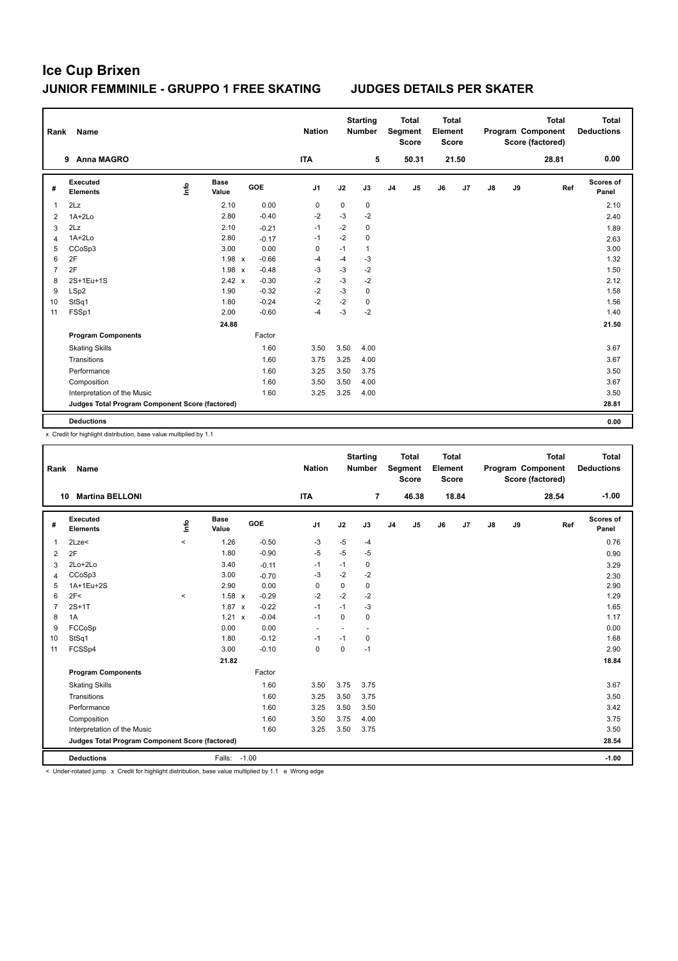| Rank           | <b>Name</b>                                     |      |                      |            |         | <b>Nation</b>  |      | <b>Starting</b><br><b>Number</b> |                | <b>Total</b><br>Segment<br><b>Score</b> | <b>Total</b><br>Element<br><b>Score</b> |       |               |    | <b>Total</b><br>Program Component<br>Score (factored) | <b>Total</b><br><b>Deductions</b> |
|----------------|-------------------------------------------------|------|----------------------|------------|---------|----------------|------|----------------------------------|----------------|-----------------------------------------|-----------------------------------------|-------|---------------|----|-------------------------------------------------------|-----------------------------------|
|                | <b>Anna MAGRO</b><br>9                          |      |                      |            |         | <b>ITA</b>     |      | 5                                |                | 50.31                                   |                                         | 21.50 |               |    | 28.81                                                 | 0.00                              |
| #              | <b>Executed</b><br><b>Elements</b>              | ١nf٥ | <b>Base</b><br>Value | <b>GOE</b> |         | J <sub>1</sub> | J2   | J3                               | J <sub>4</sub> | J <sub>5</sub>                          | J6                                      | J7    | $\mathsf{J}8$ | J9 | Ref                                                   | Scores of<br>Panel                |
| 1              | 2Lz                                             |      | 2.10                 |            | 0.00    | 0              | 0    | 0                                |                |                                         |                                         |       |               |    |                                                       | 2.10                              |
| 2              | $1A+2Lo$                                        |      | 2.80                 |            | $-0.40$ | $-2$           | $-3$ | $-2$                             |                |                                         |                                         |       |               |    |                                                       | 2.40                              |
| 3              | 2Lz                                             |      | 2.10                 |            | $-0.21$ | $-1$           | $-2$ | 0                                |                |                                         |                                         |       |               |    |                                                       | 1.89                              |
| 4              | $1A+2Lo$                                        |      | 2.80                 |            | $-0.17$ | $-1$           | $-2$ | 0                                |                |                                         |                                         |       |               |    |                                                       | 2.63                              |
| 5              | CCoSp3                                          |      | 3.00                 |            | 0.00    | $\mathbf 0$    | $-1$ | 1                                |                |                                         |                                         |       |               |    |                                                       | 3.00                              |
| 6              | 2F                                              |      | 1.98 x               |            | $-0.66$ | $-4$           | $-4$ | $-3$                             |                |                                         |                                         |       |               |    |                                                       | 1.32                              |
| $\overline{7}$ | 2F                                              |      | $1.98 \times$        |            | $-0.48$ | $-3$           | $-3$ | $-2$                             |                |                                         |                                         |       |               |    |                                                       | 1.50                              |
| 8              | 2S+1Eu+1S                                       |      | $2.42 \times$        |            | $-0.30$ | $-2$           | $-3$ | $-2$                             |                |                                         |                                         |       |               |    |                                                       | 2.12                              |
| 9              | LSp2                                            |      | 1.90                 |            | $-0.32$ | $-2$           | $-3$ | $\mathbf 0$                      |                |                                         |                                         |       |               |    |                                                       | 1.58                              |
| 10             | StSq1                                           |      | 1.80                 |            | $-0.24$ | $-2$           | $-2$ | 0                                |                |                                         |                                         |       |               |    |                                                       | 1.56                              |
| 11             | FSSp1                                           |      | 2.00                 |            | $-0.60$ | $-4$           | $-3$ | $-2$                             |                |                                         |                                         |       |               |    |                                                       | 1.40                              |
|                |                                                 |      | 24.88                |            |         |                |      |                                  |                |                                         |                                         |       |               |    |                                                       | 21.50                             |
|                | <b>Program Components</b>                       |      |                      |            | Factor  |                |      |                                  |                |                                         |                                         |       |               |    |                                                       |                                   |
|                | <b>Skating Skills</b>                           |      |                      |            | 1.60    | 3.50           | 3.50 | 4.00                             |                |                                         |                                         |       |               |    |                                                       | 3.67                              |
|                | Transitions                                     |      |                      |            | 1.60    | 3.75           | 3.25 | 4.00                             |                |                                         |                                         |       |               |    |                                                       | 3.67                              |
|                | Performance                                     |      |                      |            | 1.60    | 3.25           | 3.50 | 3.75                             |                |                                         |                                         |       |               |    |                                                       | 3.50                              |
|                | Composition                                     |      |                      |            | 1.60    | 3.50           | 3.50 | 4.00                             |                |                                         |                                         |       |               |    |                                                       | 3.67                              |
|                | Interpretation of the Music                     |      |                      |            | 1.60    | 3.25           | 3.25 | 4.00                             |                |                                         |                                         |       |               |    |                                                       | 3.50                              |
|                | Judges Total Program Component Score (factored) |      |                      |            |         |                |      |                                  |                |                                         |                                         |       |               |    |                                                       | 28.81                             |
|                | <b>Deductions</b>                               |      |                      |            |         |                |      |                                  |                |                                         |                                         |       |               |    |                                                       | 0.00                              |

x Credit for highlight distribution, base value multiplied by 1.1

| Rank           | <b>Name</b>                                     |         |                      |            | <b>Nation</b>            |             | <b>Starting</b><br><b>Number</b> |                | <b>Total</b><br>Segment<br><b>Score</b> | <b>Total</b><br>Element<br><b>Score</b> |       |               |    | Total<br>Program Component<br>Score (factored) | <b>Total</b><br><b>Deductions</b> |
|----------------|-------------------------------------------------|---------|----------------------|------------|--------------------------|-------------|----------------------------------|----------------|-----------------------------------------|-----------------------------------------|-------|---------------|----|------------------------------------------------|-----------------------------------|
| 10             | <b>Martina BELLONI</b>                          |         |                      |            | <b>ITA</b>               |             | $\overline{7}$                   |                | 46.38                                   |                                         | 18.84 |               |    | 28.54                                          | $-1.00$                           |
| #              | Executed<br><b>Elements</b>                     | lnfo    | <b>Base</b><br>Value | <b>GOE</b> | J <sub>1</sub>           | J2          | J3                               | J <sub>4</sub> | J <sub>5</sub>                          | J6                                      | J7    | $\mathsf{J}8$ | J9 | Ref                                            | <b>Scores of</b><br>Panel         |
| 1              | 2Lze<                                           | $\prec$ | 1.26                 | $-0.50$    | -3                       | $-5$        | $-4$                             |                |                                         |                                         |       |               |    |                                                | 0.76                              |
| 2              | 2F                                              |         | 1.80                 | $-0.90$    | $-5$                     | $-5$        | $-5$                             |                |                                         |                                         |       |               |    |                                                | 0.90                              |
| 3              | 2Lo+2Lo                                         |         | 3.40                 | $-0.11$    | $-1$                     | $-1$        | 0                                |                |                                         |                                         |       |               |    |                                                | 3.29                              |
| $\overline{4}$ | CCoSp3                                          |         | 3.00                 | $-0.70$    | -3                       | $-2$        | $-2$                             |                |                                         |                                         |       |               |    |                                                | 2.30                              |
| 5              | 1A+1Eu+2S                                       |         | 2.90                 | 0.00       | 0                        | 0           | 0                                |                |                                         |                                         |       |               |    |                                                | 2.90                              |
| 6              | 2F<                                             | $\prec$ | 1.58 x               | $-0.29$    | $-2$                     | $-2$        | $-2$                             |                |                                         |                                         |       |               |    |                                                | 1.29                              |
| $\overline{7}$ | $2S+1T$                                         |         | $1.87 \times$        | $-0.22$    | $-1$                     | $-1$        | $-3$                             |                |                                         |                                         |       |               |    |                                                | 1.65                              |
| 8              | 1A                                              |         | 1.21<br>$\mathsf{x}$ | $-0.04$    | $-1$                     | $\mathbf 0$ | 0                                |                |                                         |                                         |       |               |    |                                                | 1.17                              |
| 9              | FCCoSp                                          |         | 0.00                 | 0.00       | $\overline{\phantom{a}}$ |             |                                  |                |                                         |                                         |       |               |    |                                                | 0.00                              |
| 10             | StSq1                                           |         | 1.80                 | $-0.12$    | $-1$                     | $-1$        | 0                                |                |                                         |                                         |       |               |    |                                                | 1.68                              |
| 11             | FCSSp4                                          |         | 3.00                 | $-0.10$    | $\mathbf 0$              | $\Omega$    | $-1$                             |                |                                         |                                         |       |               |    |                                                | 2.90                              |
|                |                                                 |         | 21.82                |            |                          |             |                                  |                |                                         |                                         |       |               |    |                                                | 18.84                             |
|                | <b>Program Components</b>                       |         |                      | Factor     |                          |             |                                  |                |                                         |                                         |       |               |    |                                                |                                   |
|                | <b>Skating Skills</b>                           |         |                      | 1.60       | 3.50                     | 3.75        | 3.75                             |                |                                         |                                         |       |               |    |                                                | 3.67                              |
|                | Transitions                                     |         |                      | 1.60       | 3.25                     | 3.50        | 3.75                             |                |                                         |                                         |       |               |    |                                                | 3.50                              |
|                | Performance                                     |         |                      | 1.60       | 3.25                     | 3.50        | 3.50                             |                |                                         |                                         |       |               |    |                                                | 3.42                              |
|                | Composition                                     |         |                      | 1.60       | 3.50                     | 3.75        | 4.00                             |                |                                         |                                         |       |               |    |                                                | 3.75                              |
|                | Interpretation of the Music                     |         |                      | 1.60       | 3.25                     | 3.50        | 3.75                             |                |                                         |                                         |       |               |    |                                                | 3.50                              |
|                | Judges Total Program Component Score (factored) |         |                      |            |                          |             |                                  |                |                                         |                                         |       |               |    |                                                | 28.54                             |
|                | <b>Deductions</b>                               |         | Falls:               | $-1.00$    |                          |             |                                  |                |                                         |                                         |       |               |    |                                                | $-1.00$                           |

< Under-rotated jump x Credit for highlight distribution, base value multiplied by 1.1 e Wrong edge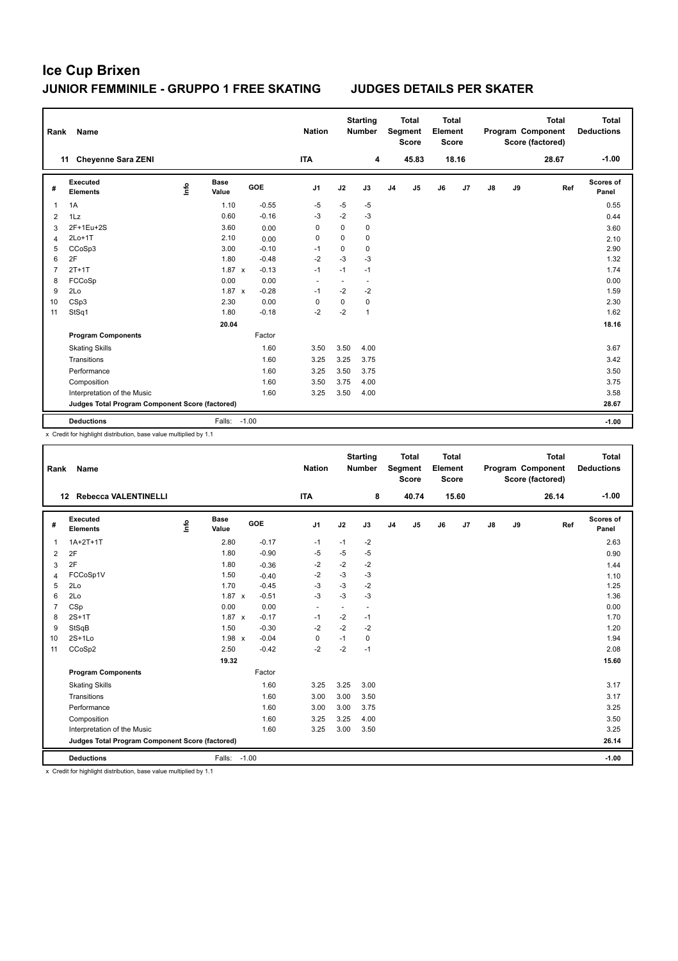| Rank           | Name                                            |    |                      |              |            | <b>Nation</b>  |             | <b>Starting</b><br><b>Number</b> |                | <b>Total</b><br>Segment<br><b>Score</b> | <b>Total</b><br>Element<br><b>Score</b> |       |               |    | <b>Total</b><br>Program Component<br>Score (factored) | <b>Total</b><br><b>Deductions</b> |
|----------------|-------------------------------------------------|----|----------------------|--------------|------------|----------------|-------------|----------------------------------|----------------|-----------------------------------------|-----------------------------------------|-------|---------------|----|-------------------------------------------------------|-----------------------------------|
|                | <b>Chevenne Sara ZENI</b><br>11                 |    |                      |              |            | <b>ITA</b>     |             | 4                                |                | 45.83                                   |                                         | 18.16 |               |    | 28.67                                                 | $-1.00$                           |
| #              | Executed<br><b>Elements</b>                     | ۴ů | <b>Base</b><br>Value |              | <b>GOE</b> | J <sub>1</sub> | J2          | J3                               | J <sub>4</sub> | J <sub>5</sub>                          | J6                                      | J7    | $\mathsf{J}8$ | J9 | Ref                                                   | <b>Scores of</b><br>Panel         |
| 1              | 1A                                              |    | 1.10                 |              | $-0.55$    | $-5$           | $-5$        | $-5$                             |                |                                         |                                         |       |               |    |                                                       | 0.55                              |
| $\overline{2}$ | 1Lz                                             |    | 0.60                 |              | $-0.16$    | -3             | $-2$        | $-3$                             |                |                                         |                                         |       |               |    |                                                       | 0.44                              |
| 3              | 2F+1Eu+2S                                       |    | 3.60                 |              | 0.00       | 0              | $\mathbf 0$ | $\mathbf 0$                      |                |                                         |                                         |       |               |    |                                                       | 3.60                              |
| 4              | $2Lo+1T$                                        |    | 2.10                 |              | 0.00       | 0              | $\mathbf 0$ | 0                                |                |                                         |                                         |       |               |    |                                                       | 2.10                              |
| 5              | CCoSp3                                          |    | 3.00                 |              | $-0.10$    | $-1$           | 0           | $\mathbf 0$                      |                |                                         |                                         |       |               |    |                                                       | 2.90                              |
| 6              | 2F                                              |    | 1.80                 |              | $-0.48$    | $-2$           | $-3$        | $-3$                             |                |                                         |                                         |       |               |    |                                                       | 1.32                              |
| $\overline{7}$ | $2T+1T$                                         |    | 1.87                 | $\mathbf{x}$ | $-0.13$    | $-1$           | $-1$        | $-1$                             |                |                                         |                                         |       |               |    |                                                       | 1.74                              |
| 8              | FCCoSp                                          |    | 0.00                 |              | 0.00       | $\blacksquare$ | ٠           | $\overline{\phantom{a}}$         |                |                                         |                                         |       |               |    |                                                       | 0.00                              |
| 9              | 2Lo                                             |    | $1.87 \times$        |              | $-0.28$    | $-1$           | $-2$        | $-2$                             |                |                                         |                                         |       |               |    |                                                       | 1.59                              |
| 10             | CSp3                                            |    | 2.30                 |              | 0.00       | 0              | $\mathbf 0$ | $\mathbf 0$                      |                |                                         |                                         |       |               |    |                                                       | 2.30                              |
| 11             | StSq1                                           |    | 1.80                 |              | $-0.18$    | $-2$           | $-2$        | $\mathbf{1}$                     |                |                                         |                                         |       |               |    |                                                       | 1.62                              |
|                |                                                 |    | 20.04                |              |            |                |             |                                  |                |                                         |                                         |       |               |    |                                                       | 18.16                             |
|                | <b>Program Components</b>                       |    |                      |              | Factor     |                |             |                                  |                |                                         |                                         |       |               |    |                                                       |                                   |
|                | <b>Skating Skills</b>                           |    |                      |              | 1.60       | 3.50           | 3.50        | 4.00                             |                |                                         |                                         |       |               |    |                                                       | 3.67                              |
|                | Transitions                                     |    |                      |              | 1.60       | 3.25           | 3.25        | 3.75                             |                |                                         |                                         |       |               |    |                                                       | 3.42                              |
|                | Performance                                     |    |                      |              | 1.60       | 3.25           | 3.50        | 3.75                             |                |                                         |                                         |       |               |    |                                                       | 3.50                              |
|                | Composition                                     |    |                      |              | 1.60       | 3.50           | 3.75        | 4.00                             |                |                                         |                                         |       |               |    |                                                       | 3.75                              |
|                | Interpretation of the Music                     |    |                      |              | 1.60       | 3.25           | 3.50        | 4.00                             |                |                                         |                                         |       |               |    |                                                       | 3.58                              |
|                | Judges Total Program Component Score (factored) |    |                      |              |            |                |             |                                  |                |                                         |                                         |       |               |    |                                                       | 28.67                             |
|                | <b>Deductions</b>                               |    | Falls: -1.00         |              |            |                |             |                                  |                |                                         |                                         |       |               |    |                                                       | $-1.00$                           |

x Credit for highlight distribution, base value multiplied by 1.1

| Rank           | Name                                            |      |               |         |         | <b>Nation</b>            |        | <b>Starting</b><br><b>Number</b> |                | <b>Total</b><br>Segment<br><b>Score</b> | <b>Total</b><br>Element<br><b>Score</b> |       |    |    | <b>Total</b><br>Program Component<br>Score (factored) | <b>Total</b><br><b>Deductions</b> |
|----------------|-------------------------------------------------|------|---------------|---------|---------|--------------------------|--------|----------------------------------|----------------|-----------------------------------------|-----------------------------------------|-------|----|----|-------------------------------------------------------|-----------------------------------|
|                | Rebecca VALENTINELLI<br>12 <sup>12</sup>        |      |               |         |         | <b>ITA</b>               |        | 8                                |                | 40.74                                   |                                         | 15.60 |    |    | 26.14                                                 | $-1.00$                           |
| #              | Executed<br><b>Elements</b>                     | lnfo | Base<br>Value |         | GOE     | J <sub>1</sub>           | J2     | J3                               | J <sub>4</sub> | J <sub>5</sub>                          | J6                                      | J7    | J8 | J9 | Ref                                                   | Scores of<br>Panel                |
| $\mathbf{1}$   | $1A+2T+1T$                                      |      | 2.80          |         | $-0.17$ | $-1$                     | $-1$   | $-2$                             |                |                                         |                                         |       |    |    |                                                       | 2.63                              |
| $\overline{2}$ | 2F                                              |      | 1.80          |         | $-0.90$ | $-5$                     | $-5$   | $-5$                             |                |                                         |                                         |       |    |    |                                                       | 0.90                              |
| 3              | 2F                                              |      | 1.80          |         | $-0.36$ | $-2$                     | $-2$   | $-2$                             |                |                                         |                                         |       |    |    |                                                       | 1.44                              |
| $\overline{4}$ | FCCoSp1V                                        |      | 1.50          |         | $-0.40$ | $-2$                     | $-3$   | $-3$                             |                |                                         |                                         |       |    |    |                                                       | 1.10                              |
| 5              | 2Lo                                             |      | 1.70          |         | $-0.45$ | $-3$                     | $-3$   | $-2$                             |                |                                         |                                         |       |    |    |                                                       | 1.25                              |
| 6              | 2Lo                                             |      | $1.87 \times$ |         | $-0.51$ | $-3$                     | $-3$   | $-3$                             |                |                                         |                                         |       |    |    |                                                       | 1.36                              |
| $\overline{7}$ | CSp                                             |      | 0.00          |         | 0.00    | $\overline{\phantom{a}}$ | $\sim$ | $\sim$                           |                |                                         |                                         |       |    |    |                                                       | 0.00                              |
| 8              | $2S+1T$                                         |      | $1.87 \times$ |         | $-0.17$ | $-1$                     | $-2$   | $-1$                             |                |                                         |                                         |       |    |    |                                                       | 1.70                              |
| 9              | StSqB                                           |      | 1.50          |         | $-0.30$ | $-2$                     | $-2$   | $-2$                             |                |                                         |                                         |       |    |    |                                                       | 1.20                              |
| 10             | $2S+1Lo$                                        |      | 1.98 x        |         | $-0.04$ | 0                        | $-1$   | 0                                |                |                                         |                                         |       |    |    |                                                       | 1.94                              |
| 11             | CCoSp2                                          |      | 2.50          |         | $-0.42$ | $-2$                     | $-2$   | $-1$                             |                |                                         |                                         |       |    |    |                                                       | 2.08                              |
|                |                                                 |      | 19.32         |         |         |                          |        |                                  |                |                                         |                                         |       |    |    |                                                       | 15.60                             |
|                | <b>Program Components</b>                       |      |               |         | Factor  |                          |        |                                  |                |                                         |                                         |       |    |    |                                                       |                                   |
|                | <b>Skating Skills</b>                           |      |               |         | 1.60    | 3.25                     | 3.25   | 3.00                             |                |                                         |                                         |       |    |    |                                                       | 3.17                              |
|                | Transitions                                     |      |               |         | 1.60    | 3.00                     | 3.00   | 3.50                             |                |                                         |                                         |       |    |    |                                                       | 3.17                              |
|                | Performance                                     |      |               |         | 1.60    | 3.00                     | 3.00   | 3.75                             |                |                                         |                                         |       |    |    |                                                       | 3.25                              |
|                | Composition                                     |      |               |         | 1.60    | 3.25                     | 3.25   | 4.00                             |                |                                         |                                         |       |    |    |                                                       | 3.50                              |
|                | Interpretation of the Music                     |      |               |         | 1.60    | 3.25                     | 3.00   | 3.50                             |                |                                         |                                         |       |    |    |                                                       | 3.25                              |
|                | Judges Total Program Component Score (factored) |      |               |         |         |                          |        |                                  |                |                                         |                                         |       |    |    |                                                       | 26.14                             |
|                | <b>Deductions</b>                               |      | Falls:        | $-1.00$ |         |                          |        |                                  |                |                                         |                                         |       |    |    |                                                       | $-1.00$                           |

x Credit for highlight distribution, base value multiplied by 1.1